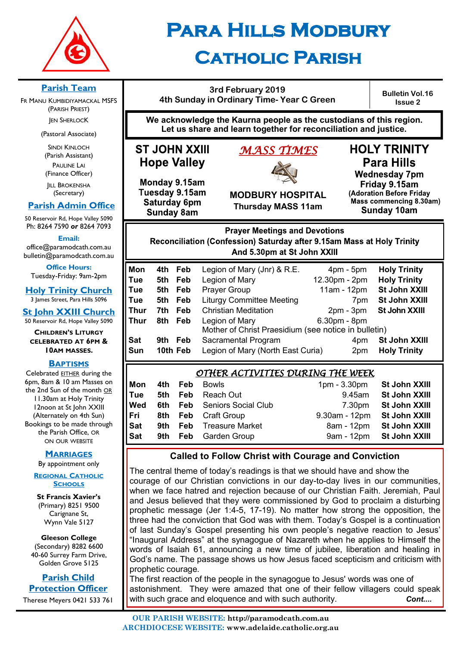

# **Para Hills Modbury Catholic Parish**

#### **3rd February 2019 4th Sunday in Ordinary Time- Year C Green**

**Bulletin Vol.16 Issue 2**

**We acknowledge the Kaurna people as the custodians of this region. Let us share and learn together for reconciliation and justice.**

# **ST JOHN XXIII Hope Valley**

# *MASS TIMES*



**HOLY TRINITY Para Hills** 

Monday 9.15am Tuesday 9.15am Saturday 6pm **Sunday 8am** 

**MODBURY HOSPITAL Thursday MASS 11am**

**Wednesday 7pm** Friday 9.15am (Adoration Before Friday Mass commencing 8.30am)

Sunday 10am

**Prayer Meetings and Devotions** Reconciliation (Confession) Saturday after 9.15am Mass at Holy Trinity And 5.30pm at St John XXIII

| Mon         | 4th  | Feb      | Legion of Mary (Jnr) & R.E.                          | $4pm - 5pm$     | <b>Holy Trinity</b> |
|-------------|------|----------|------------------------------------------------------|-----------------|---------------------|
| Tue         | 5th  | Feb      | Legion of Mary                                       | 12.30pm - 2pm   | <b>Holy Trinity</b> |
| Tue         | 5th  | Feb      | <b>Prayer Group</b>                                  | 11am - 12pm     | St John XXIII       |
| Tue         | 5th  | Feb      | <b>Liturgy Committee Meeting</b>                     | 7 <sub>pm</sub> | St John XXIII       |
| <b>Thur</b> | 7th. | Feb      | <b>Christian Meditation</b>                          | $2pm - 3pm$     | St John XXIII       |
| Thur        | 8th  | Feb      | Legion of Mary                                       | 6.30pm - 8pm    |                     |
|             |      |          | Mother of Christ Praesidium (see notice in bulletin) |                 |                     |
| <b>Sat</b>  | 9th  | Feb      | Sacramental Program                                  | 4pm             | St John XXIII       |
| Sun         |      | 10th Feb | Legion of Mary (North East Curia)                    | 2 <sub>pm</sub> | <b>Holy Trinity</b> |
|             |      |          |                                                      |                 |                     |

## *OTHER ACTIVITIES DURING THE WEEK*

| Mon | 4th Feb | Bowls                              | 1pm - 3.30pm St John XXIII  |                          |
|-----|---------|------------------------------------|-----------------------------|--------------------------|
| Tue |         | <b>5th Feb Reach Out</b>           | 9.45am                      | St John XXIII            |
| Wed |         | <b>6th Feb Seniors Social Club</b> | 7.30pm                      | St John XXIII            |
| Fri |         | <b>8th Feb Craft Group</b>         | 9.30am - 12pm St John XXIII |                          |
| Sat |         | <b>9th Feb</b> Treasure Market     | 8am - 12pm                  | St John XXIII            |
| Sat |         | 9th Feb Garden Group               |                             | 9am - 12pm St John XXIII |

# **Called to Follow Christ with Courage and Conviction**

The central theme of today's readings is that we should have and show the courage of our Christian convictions in our day-to-day lives in our communities, when we face hatred and rejection because of our Christian Faith. Jeremiah, Paul and Jesus believed that they were commissioned by God to proclaim a disturbing prophetic message (Jer 1:4-5, 17-19). No matter how strong the opposition, the three had the conviction that God was with them. Today's Gospel is a continuation of last Sunday's Gospel presenting his own people's negative reaction to Jesus' "Inaugural Address" at the synagogue of Nazareth when he applies to Himself the words of Isaiah 61, announcing a new time of jubilee, liberation and healing in God's name. The passage shows us how Jesus faced scepticism and criticism with prophetic courage.

The first reaction of the people in the synagogue to Jesus' words was one of astonishment. They were amazed that one of their fellow villagers could speak with such grace and eloquence and with such authority. **Cont... Cont...** 

# **Parish Team**

FR MANU KUMBIDIYAMACKAL MSFS (PARISH PRIEST) **JEN SHERLOCK** 

(Pastoral Associate)

SINDI KINLOCH (Parish Assistant) PAULINE LAI (Finance Officer)

**IILL BROKENSHA** (Secretary)

# **Parish Admin Office**

50 Reservoir Rd, Hope Valley 5090 Ph: 8264 7590 *or* 8264 7093

**Email:** 

office@paramodcath.com.au bulletin@paramodcath.com.au

**Office Hours:**  Tuesday-Friday: 9am-2pm

**Holy Trinity Church**

3 James Street, Para Hills 5096

**St John XXIII Church** 50 Reservoir Rd, Hope Valley 5090

**CHILDREN'S LITURGY CELEBRATED AT 6PM & 10AM MASSES.**

#### **BAPTISMS**

Celebrated EITHER during the 6pm, 8am & 10 am Masses on the 2nd Sun of the month OR 11.30am at Holy Trinity 12noon at St John XXIII (Alternately on 4th Sun) Bookings to be made through the Parish Office, OR ON OUR WEBSITE

#### **MARRIAGES**

By appointment only

**REGIONAL CATHOLIC SCHOOLS**

**St Francis Xavier's**  (Primary) 8251 9500 Carignane St, Wynn Vale 5127

**Gleeson College**  (Secondary) 8282 6600 40-60 Surrey Farm Drive, Golden Grove 5125

**Parish Child Protection Officer** Therese Meyers 0421 533 761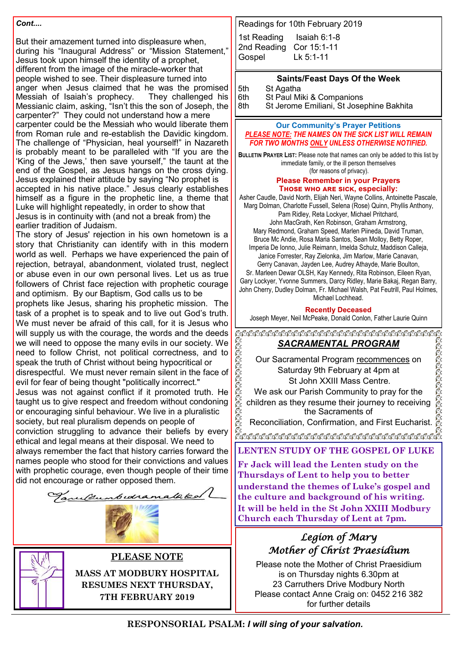#### *Cont....*

But their amazement turned into displeasure when, during his "Inaugural Address" or "Mission Statement," Jesus took upon himself the identity of a prophet, different from the image of the miracle-worker that people wished to see. Their displeasure turned into anger when Jesus claimed that he was the promised Messiah of Isaiah's prophecy. They challenged his Messianic claim, asking, "Isn't this the son of Joseph, the carpenter?" They could not understand how a mere carpenter could be the Messiah who would liberate them from Roman rule and re-establish the Davidic kingdom. The challenge of "Physician, heal yourself!" in Nazareth is probably meant to be paralleled with "If you are the 'King of the Jews,' then save yourself," the taunt at the end of the Gospel, as Jesus hangs on the cross dying. Jesus explained their attitude by saying "No prophet is accepted in his native place." Jesus clearly establishes himself as a figure in the prophetic line, a theme that Luke will highlight repeatedly, in order to show that Jesus is in continuity with (and not a break from) the earlier tradition of Judaism.

The story of Jesus' rejection in his own hometown is a story that Christianity can identify with in this modern world as well. Perhaps we have experienced the pain of rejection, betrayal, abandonment, violated trust, neglect or abuse even in our own personal lives. Let us as true followers of Christ face rejection with prophetic courage and optimism. By our Baptism, God calls us to be

prophets like Jesus, sharing his prophetic mission. The task of a prophet is to speak and to live out God's truth. We must never be afraid of this call, for it is Jesus who will supply us with the courage, the words and the deeds we will need to oppose the many evils in our society. We need to follow Christ, not political correctness, and to speak the truth of Christ without being hypocritical or disrespectful. We must never remain silent in the face of

evil for fear of being thought "politically incorrect." Jesus was not against conflict if it promoted truth. He taught us to give respect and freedom without condoning or encouraging sinful behaviour. We live in a pluralistic society, but real pluralism depends on people of conviction struggling to advance their beliefs by every ethical and legal means at their disposal. We need to always remember the fact that history carries forward the names people who stood for their convictions and values with prophetic courage, even though people of their time did not encourage or rather opposed them.



# **PLEASE NOTE**

**MASS AT MODBURY HOSPITAL RESUMES NEXT THURSDAY, 7TH FEBRUARY 2019**

Readings for 10th February 2019

| 1st Reading             | Isaiah $6:1-8$ |
|-------------------------|----------------|
| 2nd Reading Cor 15:1-11 |                |
| Gospel                  | $Lk$ 5:1-11    |

**Saints/Feast Days Of the Week**

5th St Agatha

6th St Paul Miki & Companions

8th St Jerome Emiliani, St Josephine Bakhita

#### **Our Community's Prayer Petitions**  *PLEASE NOTE: THE NAMES ON THE SICK LIST WILL REMAIN FOR TWO MONTHS ONLY UNLESS OTHERWISE NOTIFIED.*

**BULLETIN PRAYER LIST:** Please note that names can only be added to this list by immediate family, or the ill person themselves (for reasons of privacy).

#### **Please Remember in your Prayers Those who are sick, especially:**

Asher Caudle, David North, Elijah Neri, Wayne Collins, Antoinette Pascale, Marg Dolman, Charlotte Fussell, Selena (Rose) Quinn, Phyllis Anthony, Pam Ridley, Reta Lockyer, Michael Pritchard, John MacGrath, Ken Robinson, Graham Armstrong, Mary Redmond, Graham Speed, Marlen Piineda, David Truman, Bruce Mc Andie, Rosa Maria Santos, Sean Molloy, Betty Roper, Imperia De Ionno, Julie Reimann, Imelda Schulz, Maddison Calleja, Janice Forrester, Ray Zielonka, Jim Marlow, Marie Canavan, Gerry Canavan, Jayden Lee, Audrey Athayde, Marie Boulton, Sr. Marleen Dewar OLSH, Kay Kennedy, Rita Robinson, Eileen Ryan, Gary Lockyer, Yvonne Summers, Darcy Ridley, Marie Bakaj, Regan Barry, John Cherry, Dudley Dolman, Fr. Michael Walsh, Pat Feutrill, Paul Holmes, Michael Lochhead.

**Recently Deceased**

Joseph Meyer, Neil McPeake, Donald Conlon, Father Laurie Quinn

#### *SACRAMENTAL PROGRAM*

Our Sacramental Program recommences on Saturday 9th February at 4pm at St John XXIII Mass Centre.

We ask our Parish Community to pray for the children as they resume their journey to receiving the Sacraments of

Reconciliation, Confirmation, and First Eucharist.

**LENTEN STUDY OF THE GOSPEL OF LUKE**

**Fr Jack will lead the Lenten study on the Thursdays of Lent to help you to better understand the themes of Luke's gospel and the culture and background of his writing. It will be held in the St John XXIII Modbury Church each Thursday of Lent at 7pm.**

# *Legion of Mary Mother of Christ Praesidium*

Please note the Mother of Christ Praesidium is on Thursday nights 6.30pm at 23 Carruthers Drive Modbury North Please contact Anne Craig on: 0452 216 382 for further details

**RESPONSORIAL PSALM:** *I will sing of your salvation.*

GGGGGG

**RARA** 

RRA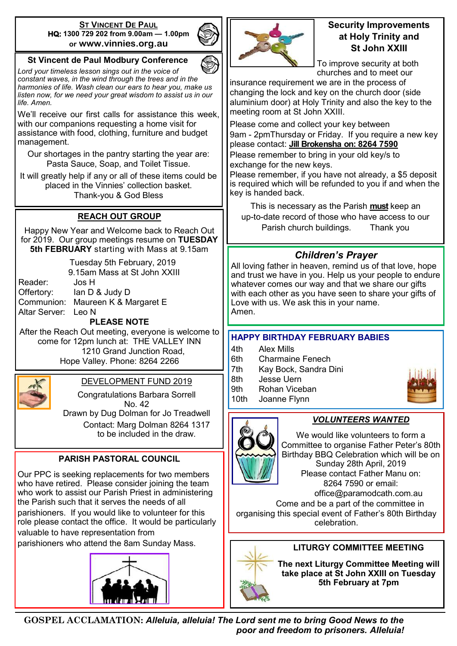#### **ST VINCENT DE PAUL HQ: 1300 729 202 from 9.00am — 1.00pm or www.vinnies.org.au**

#### **St Vincent de Paul Modbury Conference**

*Lord your timeless lesson sings out in the voice of constant waves, in the wind through the trees and in the harmonies of life. Wash clean our ears to hear you, make us listen now, for we need your great wisdom to assist us in our life. Amen.*

We'll receive our first calls for assistance this week. with our companions requesting a home visit for assistance with food, clothing, furniture and budget management.

Our shortages in the pantry starting the year are: Pasta Sauce, Soap, and Toilet Tissue.

It will greatly help if any or all of these items could be placed in the Vinnies' collection basket. Thank-you & God Bless

## **REACH OUT GROUP**

Happy New Year and Welcome back to Reach Out for 2019. Our group meetings resume on **TUESDAY 5th FEBRUARY** starting with Mass at 9.15am

> Tuesday 5th February, 2019 9.15am Mass at St John XXIII

Reader: Jos H

Offertory: Ian D & Judy D Communion: Maureen K & Margaret E Altar Server: Leo N

#### **PLEASE NOTE**

After the Reach Out meeting, everyone is welcome to come for 12pm lunch at: THE VALLEY INN 1210 Grand Junction Road, Hope Valley. Phone: 8264 2266



#### DEVELOPMENT FUND 2019

Congratulations Barbara Sorrell No. 42 Drawn by Dug Dolman for Jo Treadwell Contact: Marg Dolman 8264 1317

to be included in the draw.

## **PARISH PASTORAL COUNCIL**

Our PPC is seeking replacements for two members who have retired. Please consider joining the team who work to assist our Parish Priest in administering the Parish such that it serves the needs of all parishioners. If you would like to volunteer for this role please contact the office. It would be particularly valuable to have representation from

parishioners who attend the 8am Sunday Mass.





#### **Security Improvements at Holy Trinity and St John XXIII**

To improve security at both churches and to meet our

insurance requirement we are in the process of changing the lock and key on the church door (side aluminium door) at Holy Trinity and also the key to the meeting room at St John XXIII.

Please come and collect your key between 9am - 2pmThursday or Friday. If you require a new key please contact: **Jill Brokensha on: 8264 7590** 

Please remember to bring in your old key/s to exchange for the new keys.

Please remember, if you have not already, a \$5 deposit is required which will be refunded to you if and when the key is handed back.

This is necessary as the Parish **must** keep an up-to-date record of those who have access to our Parish church buildings. Thank you

## *Children's Prayer*

All loving father in heaven, remind us of that love, hope and trust we have in you. Help us your people to endure whatever comes our way and that we share our gifts with each other as you have seen to share your gifts of Love with us. We ask this in your name. Amen.

#### **HAPPY BIRTHDAY FEBRUARY BABIES**

- 4th Alex Mills
- 6th Charmaine Fenech
- 7th Kay Bock, Sandra Dini
- 8th Jesse Uern
- 9th Rohan Viceban
- 10th Joanne Flynn
- 



*VOLUNTEERS WANTED* We would like volunteers to form a

Committee to organise Father Peter's 80th Birthday BBQ Celebration which will be on Sunday 28th April, 2019 Please contact Father Manu on: 8264 7590 or email: office@paramodcath.com.au

Come and be a part of the committee in organising this special event of Father's 80th Birthday celebration.



**The next Liturgy Committee Meeting will take place at St John XXIII on Tuesday 5th February at 7pm**

**GOSPEL ACCLAMATION:** *Alleluia, alleluia! The Lord sent me to bring Good News to the poor and freedom to prisoners. Alleluia!*